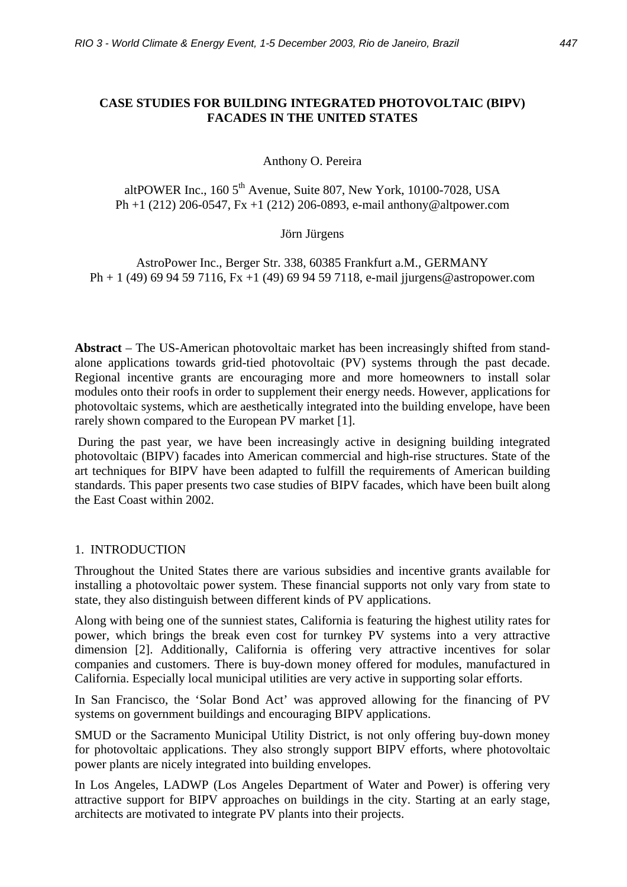# **CASE STUDIES FOR BUILDING INTEGRATED PHOTOVOLTAIC (BIPV) FACADES IN THE UNITED STATES**

#### Anthony O. Pereira

altPOWER Inc.,  $1605<sup>th</sup>$  Avenue, Suite 807, New York,  $10100-7028$ , USA Ph +1 (212) 206-0547, Fx +1 (212) 206-0893, e-mail anthony@altpower.com

#### Jörn Jürgens

AstroPower Inc., Berger Str. 338, 60385 Frankfurt a.M., GERMANY Ph + 1 (49) 69 94 59 7116, Fx +1 (49) 69 94 59 7118, e-mail jjurgens@astropower.com

**Abstract** – The US-American photovoltaic market has been increasingly shifted from standalone applications towards grid-tied photovoltaic (PV) systems through the past decade. Regional incentive grants are encouraging more and more homeowners to install solar modules onto their roofs in order to supplement their energy needs. However, applications for photovoltaic systems, which are aesthetically integrated into the building envelope, have been rarely shown compared to the European PV market [1].

 During the past year, we have been increasingly active in designing building integrated photovoltaic (BIPV) facades into American commercial and high-rise structures. State of the art techniques for BIPV have been adapted to fulfill the requirements of American building standards. This paper presents two case studies of BIPV facades, which have been built along the East Coast within 2002.

#### 1. INTRODUCTION

Throughout the United States there are various subsidies and incentive grants available for installing a photovoltaic power system. These financial supports not only vary from state to state, they also distinguish between different kinds of PV applications.

Along with being one of the sunniest states, California is featuring the highest utility rates for power, which brings the break even cost for turnkey PV systems into a very attractive dimension [2]. Additionally, California is offering very attractive incentives for solar companies and customers. There is buy-down money offered for modules, manufactured in California. Especially local municipal utilities are very active in supporting solar efforts.

In San Francisco, the 'Solar Bond Act' was approved allowing for the financing of PV systems on government buildings and encouraging BIPV applications.

SMUD or the Sacramento Municipal Utility District, is not only offering buy-down money for photovoltaic applications. They also strongly support BIPV efforts, where photovoltaic power plants are nicely integrated into building envelopes.

In Los Angeles, LADWP (Los Angeles Department of Water and Power) is offering very attractive support for BIPV approaches on buildings in the city. Starting at an early stage, architects are motivated to integrate PV plants into their projects.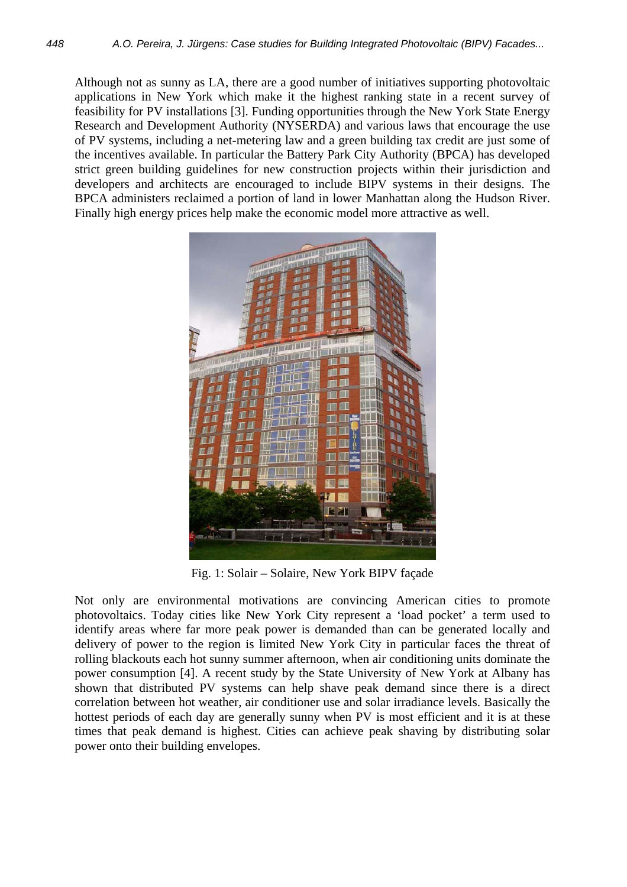Although not as sunny as LA, there are a good number of initiatives supporting photovoltaic applications in New York which make it the highest ranking state in a recent survey of feasibility for PV installations [3]. Funding opportunities through the New York State Energy Research and Development Authority (NYSERDA) and various laws that encourage the use of PV systems, including a net-metering law and a green building tax credit are just some of the incentives available. In particular the Battery Park City Authority (BPCA) has developed strict green building guidelines for new construction projects within their jurisdiction and developers and architects are encouraged to include BIPV systems in their designs. The BPCA administers reclaimed a portion of land in lower Manhattan along the Hudson River. Finally high energy prices help make the economic model more attractive as well.



Fig. 1: Solair – Solaire, New York BIPV façade

Not only are environmental motivations are convincing American cities to promote photovoltaics. Today cities like New York City represent a 'load pocket' a term used to identify areas where far more peak power is demanded than can be generated locally and delivery of power to the region is limited New York City in particular faces the threat of rolling blackouts each hot sunny summer afternoon, when air conditioning units dominate the power consumption [4]. A recent study by the State University of New York at Albany has shown that distributed PV systems can help shave peak demand since there is a direct correlation between hot weather, air conditioner use and solar irradiance levels. Basically the hottest periods of each day are generally sunny when PV is most efficient and it is at these times that peak demand is highest. Cities can achieve peak shaving by distributing solar power onto their building envelopes.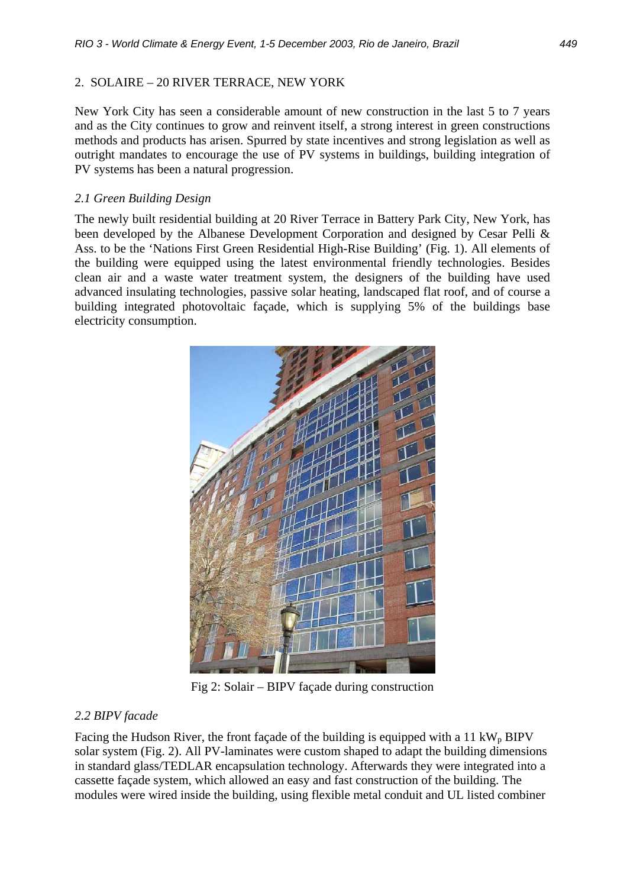# 2. SOLAIRE – 20 RIVER TERRACE, NEW YORK

New York City has seen a considerable amount of new construction in the last 5 to 7 years and as the City continues to grow and reinvent itself, a strong interest in green constructions methods and products has arisen. Spurred by state incentives and strong legislation as well as outright mandates to encourage the use of PV systems in buildings, building integration of PV systems has been a natural progression.

# *2.1 Green Building Design*

The newly built residential building at 20 River Terrace in Battery Park City, New York, has been developed by the Albanese Development Corporation and designed by Cesar Pelli & Ass. to be the 'Nations First Green Residential High-Rise Building' (Fig. 1). All elements of the building were equipped using the latest environmental friendly technologies. Besides clean air and a waste water treatment system, the designers of the building have used advanced insulating technologies, passive solar heating, landscaped flat roof, and of course a building integrated photovoltaic façade, which is supplying 5% of the buildings base electricity consumption.



Fig 2: Solair – BIPV façade during construction

### *2.2 BIPV facade*

Facing the Hudson River, the front façade of the building is equipped with a 11 kW<sub>p</sub> BIPV solar system (Fig. 2). All PV-laminates were custom shaped to adapt the building dimensions in standard glass/TEDLAR encapsulation technology. Afterwards they were integrated into a cassette façade system, which allowed an easy and fast construction of the building. The modules were wired inside the building, using flexible metal conduit and UL listed combiner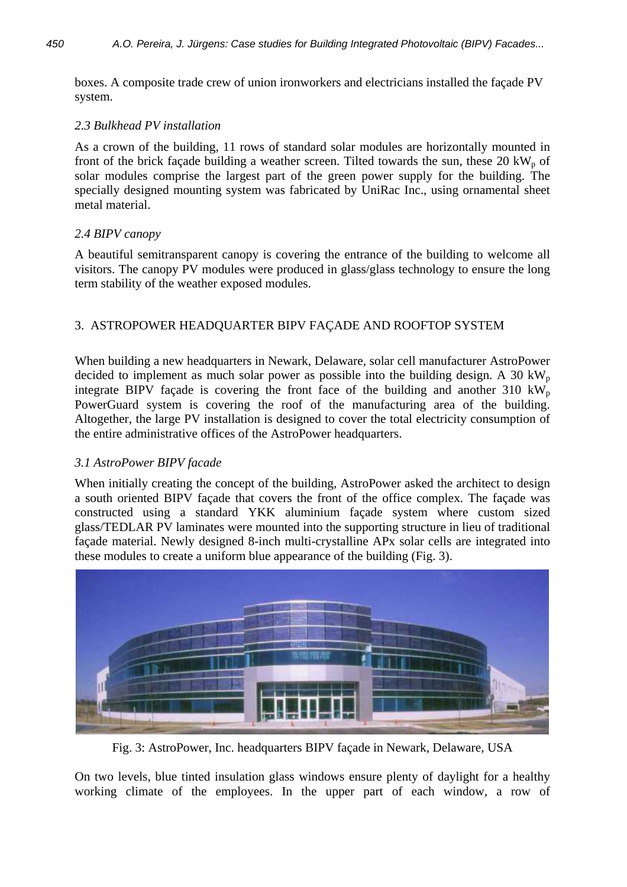boxes. A composite trade crew of union ironworkers and electricians installed the façade PV system.

# *2.3 Bulkhead PV installation*

As a crown of the building, 11 rows of standard solar modules are horizontally mounted in front of the brick façade building a weather screen. Tilted towards the sun, these  $20 \text{ kW}_p$  of solar modules comprise the largest part of the green power supply for the building. The specially designed mounting system was fabricated by UniRac Inc., using ornamental sheet metal material.

# *2.4 BIPV canopy*

A beautiful semitransparent canopy is covering the entrance of the building to welcome all visitors. The canopy PV modules were produced in glass/glass technology to ensure the long term stability of the weather exposed modules.

# 3. ASTROPOWER HEADQUARTER BIPV FAÇADE AND ROOFTOP SYSTEM

When building a new headquarters in Newark, Delaware, solar cell manufacturer AstroPower decided to implement as much solar power as possible into the building design. A 30 kW<sub>p</sub> integrate BIPV façade is covering the front face of the building and another 310 kW<sub>p</sub> PowerGuard system is covering the roof of the manufacturing area of the building. Altogether, the large PV installation is designed to cover the total electricity consumption of the entire administrative offices of the AstroPower headquarters.

### *3.1 AstroPower BIPV facade*

When initially creating the concept of the building, AstroPower asked the architect to design a south oriented BIPV façade that covers the front of the office complex. The façade was constructed using a standard YKK aluminium façade system where custom sized glass/TEDLAR PV laminates were mounted into the supporting structure in lieu of traditional façade material. Newly designed 8-inch multi-crystalline APx solar cells are integrated into these modules to create a uniform blue appearance of the building (Fig. 3).



Fig. 3: AstroPower, Inc. headquarters BIPV façade in Newark, Delaware, USA

On two levels, blue tinted insulation glass windows ensure plenty of daylight for a healthy working climate of the employees. In the upper part of each window, a row of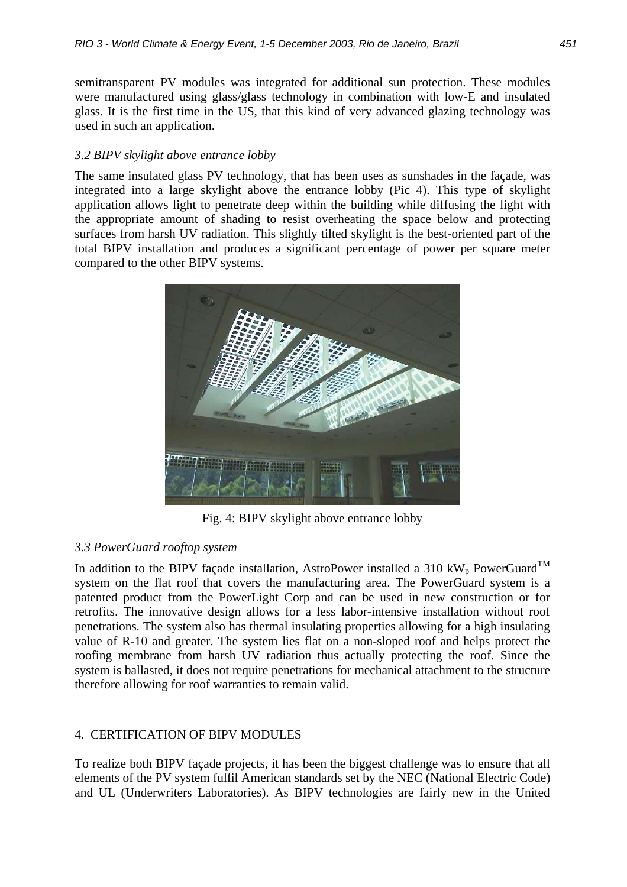semitransparent PV modules was integrated for additional sun protection. These modules were manufactured using glass/glass technology in combination with low-E and insulated glass. It is the first time in the US, that this kind of very advanced glazing technology was used in such an application.

## *3.2 BIPV skylight above entrance lobby*

The same insulated glass PV technology, that has been uses as sunshades in the façade, was integrated into a large skylight above the entrance lobby (Pic 4). This type of skylight application allows light to penetrate deep within the building while diffusing the light with the appropriate amount of shading to resist overheating the space below and protecting surfaces from harsh UV radiation. This slightly tilted skylight is the best-oriented part of the total BIPV installation and produces a significant percentage of power per square meter compared to the other BIPV systems.



Fig. 4: BIPV skylight above entrance lobby

### *3.3 PowerGuard rooftop system*

In addition to the BIPV façade installation, AstroPower installed a 310 kW<sub>p</sub> PowerGuard<sup>TM</sup> system on the flat roof that covers the manufacturing area. The PowerGuard system is a patented product from the PowerLight Corp and can be used in new construction or for retrofits. The innovative design allows for a less labor-intensive installation without roof penetrations. The system also has thermal insulating properties allowing for a high insulating value of R-10 and greater. The system lies flat on a non-sloped roof and helps protect the roofing membrane from harsh UV radiation thus actually protecting the roof. Since the system is ballasted, it does not require penetrations for mechanical attachment to the structure therefore allowing for roof warranties to remain valid.

### 4. CERTIFICATION OF BIPV MODULES

To realize both BIPV façade projects, it has been the biggest challenge was to ensure that all elements of the PV system fulfil American standards set by the NEC (National Electric Code) and UL (Underwriters Laboratories). As BIPV technologies are fairly new in the United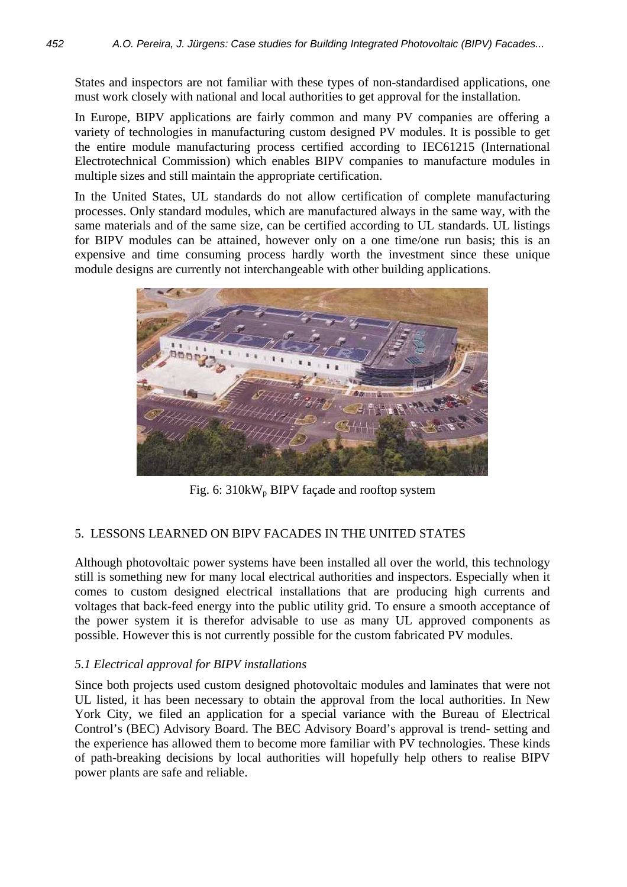States and inspectors are not familiar with these types of non-standardised applications, one must work closely with national and local authorities to get approval for the installation.

In Europe, BIPV applications are fairly common and many PV companies are offering a variety of technologies in manufacturing custom designed PV modules. It is possible to get the entire module manufacturing process certified according to IEC61215 (International Electrotechnical Commission) which enables BIPV companies to manufacture modules in multiple sizes and still maintain the appropriate certification.

In the United States, UL standards do not allow certification of complete manufacturing processes. Only standard modules, which are manufactured always in the same way, with the same materials and of the same size, can be certified according to UL standards. UL listings for BIPV modules can be attained, however only on a one time/one run basis; this is an expensive and time consuming process hardly worth the investment since these unique module designs are currently not interchangeable with other building applications.



Fig. 6:  $310kW_p$  BIPV façade and rooftop system

# 5. LESSONS LEARNED ON BIPV FACADES IN THE UNITED STATES

Although photovoltaic power systems have been installed all over the world, this technology still is something new for many local electrical authorities and inspectors. Especially when it comes to custom designed electrical installations that are producing high currents and voltages that back-feed energy into the public utility grid. To ensure a smooth acceptance of the power system it is therefor advisable to use as many UL approved components as possible. However this is not currently possible for the custom fabricated PV modules.

# *5.1 Electrical approval for BIPV installations*

Since both projects used custom designed photovoltaic modules and laminates that were not UL listed, it has been necessary to obtain the approval from the local authorities. In New York City, we filed an application for a special variance with the Bureau of Electrical Control's (BEC) Advisory Board. The BEC Advisory Board's approval is trend- setting and the experience has allowed them to become more familiar with PV technologies. These kinds of path-breaking decisions by local authorities will hopefully help others to realise BIPV power plants are safe and reliable.